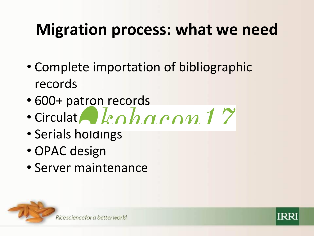### **Migration process: what we need**

- Complete importation of bibliographic records
- 600+ patron records
- Circulation records
- Serials holdings
- OPAC design
- Server maintenance



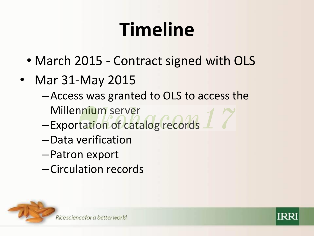# **Timeline**

- March 2015 Contract signed with OLS
- Mar 31-May 2015
	- –Access was granted to OLS to access the Millennium server
	- –Exportation of catalog records
	- –Data verification
	- –Patron export
	- –Circulation records



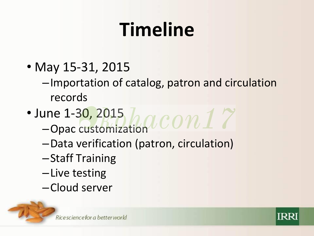# **Timeline**

- May 15-31, 2015
	- –Importation of catalog, patron and circulation records
- June 1-30, 2015 –Opac customization
	- –Data verification (patron, circulation)
	- –Staff Training
	- –Live testing
	- –Cloud server



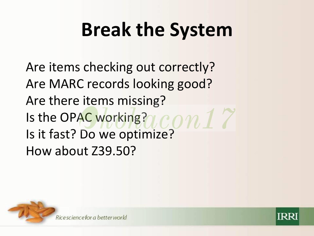## **Break the System**

Are items checking out correctly? Are MARC records looking good? Are there items missing? Is the OPAC working? LCON 1 Is it fast? Do we optimize? How about Z39.50?



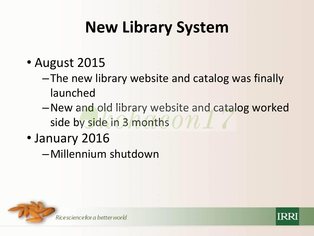### **New Library System**

- August 2015
	- –The new library website and catalog was finally launched
	- –New and old library website and catalog worked side by side in 3 months  $OP$
- January 2016
	- –Millennium shutdown



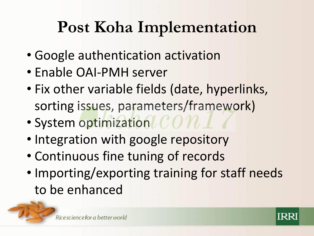#### **Post Koha Implementation**

- Google authentication activation
- Enable OAI-PMH server
- Fix other variable fields (date, hyperlinks, sorting issues, parameters/framework)
- System optimization  $\mathcal{CON}$
- Integration with google repository
- Continuous fine tuning of records
- Importing/exporting training for staff needs to be enhanced



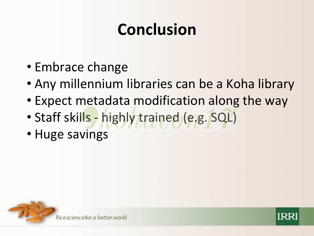### **Conclusion**

- Embrace change
- Any millennium libraries can be a Koha library
- Expect metadata modification along the way
- Staff skills highly trained (e.g. SQL)
- Huge savings